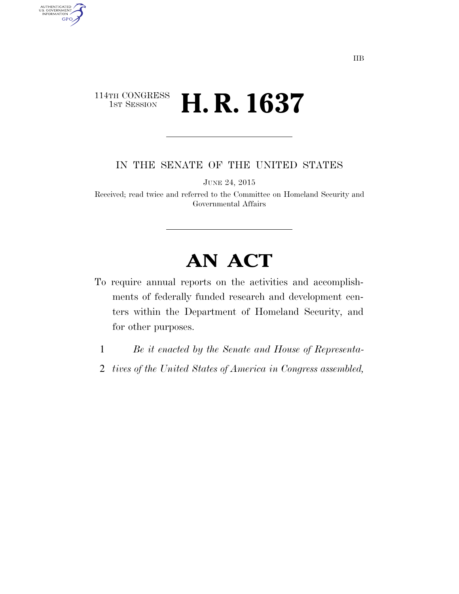## 114TH CONGRESS<br>1st Session **H. R. 1637**

AUTHENTICATED<br>U.S. GOVERNMENT<br>INFORMATION GPO

IN THE SENATE OF THE UNITED STATES

JUNE 24, 2015

Received; read twice and referred to the Committee on Homeland Security and Governmental Affairs

## **AN ACT**

- To require annual reports on the activities and accomplishments of federally funded research and development centers within the Department of Homeland Security, and for other purposes.
	- 1 *Be it enacted by the Senate and House of Representa-*
	- 2 *tives of the United States of America in Congress assembled,*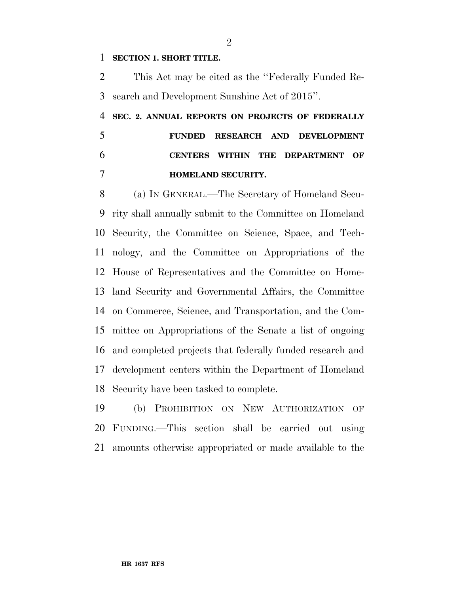## **SECTION 1. SHORT TITLE.**

 This Act may be cited as the ''Federally Funded Re-search and Development Sunshine Act of 2015''.

## **SEC. 2. ANNUAL REPORTS ON PROJECTS OF FEDERALLY FUNDED RESEARCH AND DEVELOPMENT CENTERS WITHIN THE DEPARTMENT OF HOMELAND SECURITY.**

 (a) IN GENERAL.—The Secretary of Homeland Secu- rity shall annually submit to the Committee on Homeland Security, the Committee on Science, Space, and Tech- nology, and the Committee on Appropriations of the House of Representatives and the Committee on Home- land Security and Governmental Affairs, the Committee on Commerce, Science, and Transportation, and the Com- mittee on Appropriations of the Senate a list of ongoing and completed projects that federally funded research and development centers within the Department of Homeland Security have been tasked to complete.

 (b) PROHIBITION ON NEW AUTHORIZATION OF FUNDING.—This section shall be carried out using amounts otherwise appropriated or made available to the